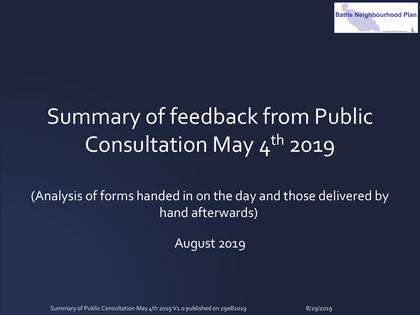

# Summary of feedback from Public Consultation May  $4^{th}$  2019

(Analysis of forms handed in on the day and those delivered by hand afterwards)

August 2019

Summary of Public Consultation May 4th 2019 V1.0 published on 29082019 8/2019 8/29/2019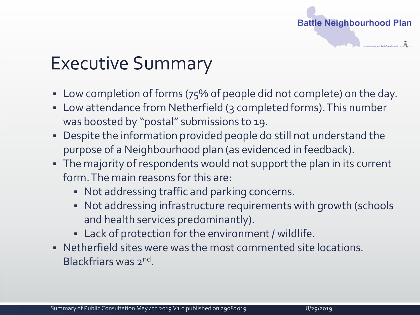

# Executive Summary

- Low completion of forms (75% of people did not complete) on the day.
- Low attendance from Netherfield (3 completed forms). This number was boosted by "postal" submissions to 19.
- Despite the information provided people do still not understand the purpose of a Neighbourhood plan (as evidenced in feedback).
- The majority of respondents would not support the plan in its current form. The main reasons for this are:
	- Not addressing traffic and parking concerns.
	- Not addressing infrastructure requirements with growth (schools and health services predominantly).
	- Lack of protection for the environment / wildlife.
- Netherfield sites were was the most commented site locations. Blackfriars was 2<sup>nd</sup>.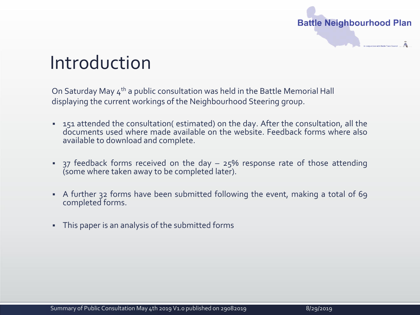

### Introduction

On Saturday May  $4<sup>th</sup>$  a public consultation was held in the Battle Memorial Hall displaying the current workings of the Neighbourhood Steering group.

- 151 attended the consultation( estimated) on the day. After the consultation, all the documents used where made available on the website. Feedback forms where also available to download and complete.
- **•** 37 feedback forms received on the day  $-$  25% response rate of those attending (some where taken away to be completed later).
- A further 32 forms have been submitted following the event, making a total of 69 completed forms.
- This paper is an analysis of the submitted forms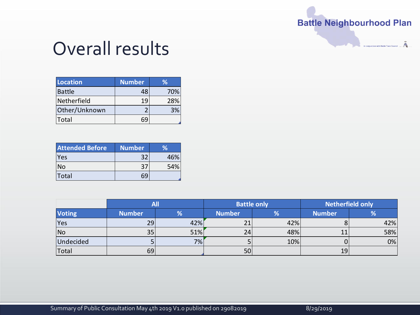#### **Battle Neighbourhood Plan**

in conjunction with Battle Town Council Ā

#### Overall results

| <b>Location</b> | <b>Number</b> | ℅   |
|-----------------|---------------|-----|
| Battle          | 48            | 70% |
| Netherfield     | 19            | 28% |
| Other/Unknown   |               | 3%  |
| Total           |               |     |

| <b>Attended Before</b> | <b>Number</b> | <b>Volt</b> |
|------------------------|---------------|-------------|
| <b>Yes</b>             | 32            | 46%         |
| <b>No</b>              | 37            | 54%         |
| <b>Total</b>           |               |             |

|                |               | All |               | <b>Battle only</b> | <b>Netherfield only</b> |     |
|----------------|---------------|-----|---------------|--------------------|-------------------------|-----|
| <b>Voting</b>  | <b>Number</b> | %   | <b>Number</b> | %                  | <b>Number</b>           | %   |
| <b>Yes</b>     | 29            | 42% | 21            | 42%                |                         | 42% |
| N <sub>o</sub> | 35            | 51% | 24            | 48%                |                         | 58% |
| Undecided      |               | 7%  |               | 10%                |                         | 0%  |
| Total          | 69            |     | 50            |                    | 19                      |     |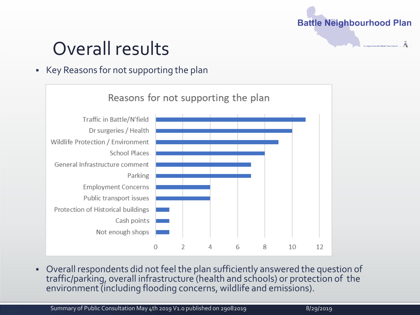#### **Battle Neighbourhood Plan**

# Overall results

#### ▪ Key Reasons for not supporting the plan



▪ Overall respondents did not feel the plan sufficiently answered the question of traffic/parking, overall infrastructure (health and schools) or protection of the environment (including flooding concerns, wildlife and emissions).

Summary of Public Consultation May 4th 2019 V1.0 published on 29082019 8/2019 8/29/2019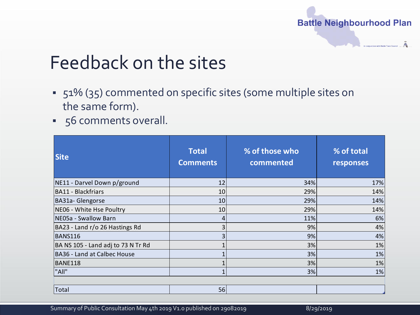

### Feedback on the sites

- 51% (35) commented on specific sites (some multiple sites on the same form).
- 56 comments overall.

| <b>Site</b>                        | <b>Total</b><br><b>Comments</b> | % of those who<br>commented | % of total<br>responses |
|------------------------------------|---------------------------------|-----------------------------|-------------------------|
| NE11 - Darvel Down p/ground        | 12                              | 34%                         | 17%                     |
| <b>BA11 - Blackfriars</b>          | 10                              | 29%                         | 14%                     |
| BA31a-Glengorse                    | 10                              | 29%                         | 14%                     |
| NE06 - White Hse Poultry           | 10                              | 29%                         | 14%                     |
| NE05a - Swallow Barn               | 4                               | 11%                         | 6%                      |
| BA23 - Land r/o 26 Hastings Rd     | 3                               | 9%                          | 4%                      |
| <b>BANS116</b>                     | 3                               | 9%                          | 4%                      |
| BA NS 105 - Land adj to 73 N Tr Rd |                                 | 3%                          | 1%                      |
| <b>BA36 - Land at Calbec House</b> | 1                               | 3%                          | 1%                      |
| BANE118                            | 1                               | 3%                          | 1%                      |
| "All"                              | 1                               | 3%                          | 1%                      |
| Total                              | 56                              |                             |                         |

Summary of Public Consultation May 4th 2019 V1.0 published on 29082019 **1999 10:00 Published on 29082019**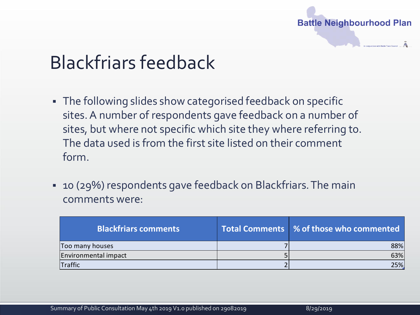

# Blackfriars feedback

- **.** The following slides show categorised feedback on specific sites. A number of respondents gave feedback on a number of sites, but where not specific which site they where referring to. The data used is from the first site listed on their comment form.
- 10 (29%) respondents gave feedback on Blackfriars. The main comments were:

| <b>Blackfriars comments</b> | <b>Total Comments 3 % of those who commented</b> |
|-----------------------------|--------------------------------------------------|
| Too many houses             | 88%                                              |
| Environmental impact        | 63%                                              |
| Traffic                     | 25%                                              |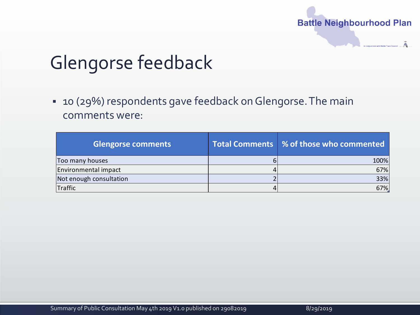

# Glengorse feedback

▪ 10 (29%) respondents gave feedback on Glengorse. The main comments were:

| <b>Glengorse comments</b> | Total Comments   % of those who commented |
|---------------------------|-------------------------------------------|
| Too many houses           | 100%                                      |
| Environmental impact      | 67%                                       |
| Not enough consultation   | 33%                                       |
| Traffic                   | 67%.                                      |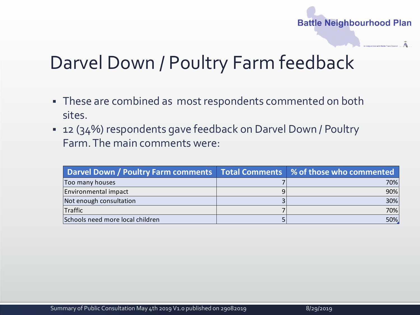#### **Battle Neighbourhood Plan**

### Darvel Down / Poultry Farm feedback

- **These are combined as most respondents commented on both** sites.
- 12 (34%) respondents gave feedback on Darvel Down / Poultry Farm. The main comments were:

| Darvel Down / Poultry Farm comments   Total Comments   % of those who commented |     |
|---------------------------------------------------------------------------------|-----|
| Too many houses                                                                 | 70% |
| Environmental impact                                                            | 90% |
| Not enough consultation                                                         | 30% |
| <b>Traffic</b>                                                                  | 70% |
| Schools need more local children                                                | 50% |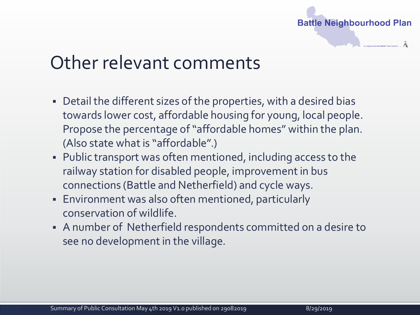

#### Other relevant comments

- Detail the different sizes of the properties, with a desired bias towards lower cost, affordable housing for young, local people. Propose the percentage of "affordable homes" within the plan. (Also state what is "affordable".)
- Public transport was often mentioned, including access to the railway station for disabled people, improvement in bus connections (Battle and Netherfield) and cycle ways.
- **Environment was also often mentioned, particularly** conservation of wildlife.
- A number of Netherfield respondents committed on a desire to see no development in the village.